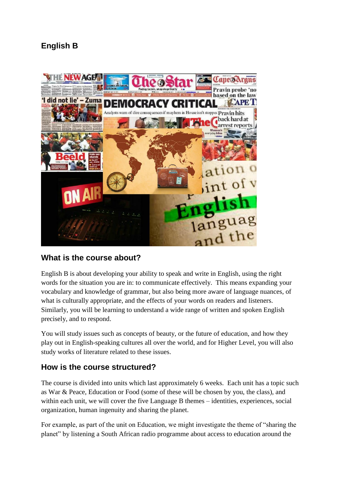# **English B**



### **What is the course about?**

English B is about developing your ability to speak and write in English, using the right words for the situation you are in: to communicate effectively. This means expanding your vocabulary and knowledge of grammar, but also being more aware of language nuances, of what is culturally appropriate, and the effects of your words on readers and listeners. Similarly, you will be learning to understand a wide range of written and spoken English precisely, and to respond.

You will study issues such as concepts of beauty, or the future of education, and how they play out in English-speaking cultures all over the world, and for Higher Level, you will also study works of literature related to these issues.

### **How is the course structured?**

The course is divided into units which last approximately 6 weeks. Each unit has a topic such as War & Peace, Education or Food (some of these will be chosen by you, the class), and within each unit, we will cover the five Language B themes – identities, experiences, social organization, human ingenuity and sharing the planet.

For example, as part of the unit on Education, we might investigate the theme of "sharing the planet" by listening a South African radio programme about access to education around the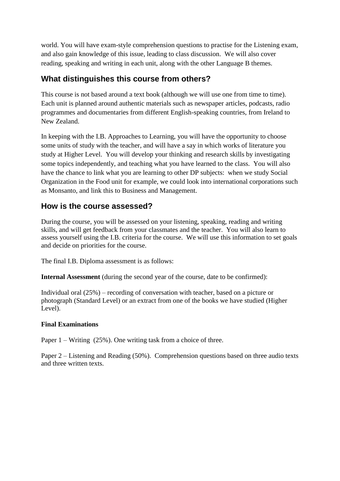world. You will have exam-style comprehension questions to practise for the Listening exam, and also gain knowledge of this issue, leading to class discussion. We will also cover reading, speaking and writing in each unit, along with the other Language B themes.

## **What distinguishes this course from others?**

This course is not based around a text book (although we will use one from time to time). Each unit is planned around authentic materials such as newspaper articles, podcasts, radio programmes and documentaries from different English-speaking countries, from Ireland to New Zealand.

In keeping with the I.B. Approaches to Learning, you will have the opportunity to choose some units of study with the teacher, and will have a say in which works of literature you study at Higher Level. You will develop your thinking and research skills by investigating some topics independently, and teaching what you have learned to the class. You will also have the chance to link what you are learning to other DP subjects: when we study Social Organization in the Food unit for example, we could look into international corporations such as Monsanto, and link this to Business and Management.

## **How is the course assessed?**

During the course, you will be assessed on your listening, speaking, reading and writing skills, and will get feedback from your classmates and the teacher. You will also learn to assess yourself using the I.B. criteria for the course. We will use this information to set goals and decide on priorities for the course.

The final I.B. Diploma assessment is as follows:

**Internal Assessment** (during the second year of the course, date to be confirmed):

Individual oral (25%) – recording of conversation with teacher, based on a picture or photograph (Standard Level) or an extract from one of the books we have studied (Higher Level).

#### **Final Examinations**

Paper 1 – Writing (25%). One writing task from a choice of three.

Paper 2 – Listening and Reading (50%). Comprehension questions based on three audio texts and three written texts.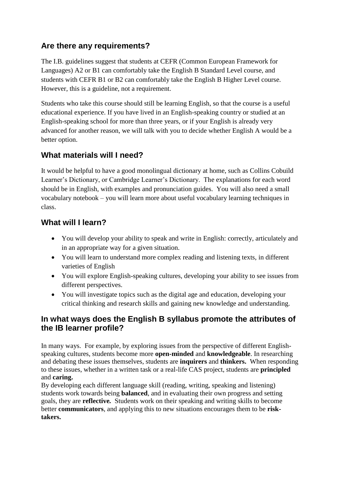## **Are there any requirements?**

The I.B. guidelines suggest that students at CEFR (Common European Framework for Languages) A2 or B1 can comfortably take the English B Standard Level course, and students with CEFR B1 or B2 can comfortably take the English B Higher Level course. However, this is a guideline, not a requirement.

Students who take this course should still be learning English, so that the course is a useful educational experience. If you have lived in an English-speaking country or studied at an English-speaking school for more than three years, or if your English is already very advanced for another reason, we will talk with you to decide whether English A would be a better option.

## **What materials will I need?**

It would be helpful to have a good monolingual dictionary at home, such as Collins Cobuild Learner's Dictionary, or Cambridge Learner's Dictionary. The explanations for each word should be in English, with examples and pronunciation guides. You will also need a small vocabulary notebook – you will learn more about useful vocabulary learning techniques in class.

## **What will I learn?**

- You will develop your ability to speak and write in English: correctly, articulately and in an appropriate way for a given situation.
- You will learn to understand more complex reading and listening texts, in different varieties of English
- You will explore English-speaking cultures, developing your ability to see issues from different perspectives.
- You will investigate topics such as the digital age and education, developing your critical thinking and research skills and gaining new knowledge and understanding.

### **In what ways does the English B syllabus promote the attributes of the IB learner profile?**

In many ways. For example, by exploring issues from the perspective of different Englishspeaking cultures, students become more **open-minded** and **knowledgeable**. In researching and debating these issues themselves, students are **inquirers** and **thinkers.** When responding to these issues, whether in a written task or a real-life CAS project, students are **principled**  and **caring.** 

By developing each different language skill (reading, writing, speaking and listening) students work towards being **balanced**, and in evaluating their own progress and setting goals, they are **reflective***.* Students work on their speaking and writing skills to become better **communicators**, and applying this to new situations encourages them to be **risktakers.**